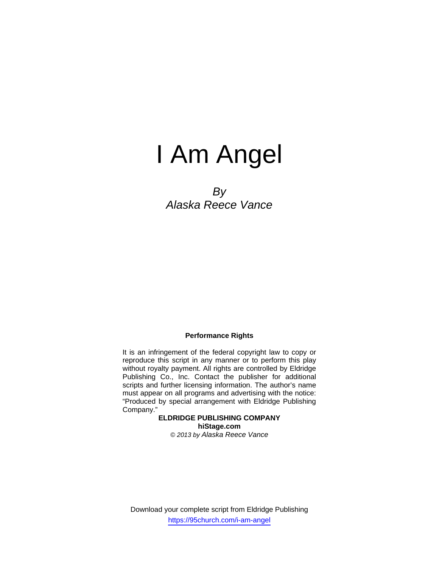# I Am Angel

*By Alaska Reece Vance* 

## **Performance Rights**

It is an infringement of the federal copyright law to copy or reproduce this script in any manner or to perform this play without royalty payment. All rights are controlled by Eldridge Publishing Co., Inc. Contact the publisher for additional scripts and further licensing information. The author's name must appear on all programs and advertising with the notice: "Produced by special arrangement with Eldridge Publishing Company."

**ELDRIDGE PUBLISHING COMPANY hiStage.com**  *© 2013 by Alaska Reece Vance*

Download your complete script from Eldridge Publishing https://95church.com/i-am-angel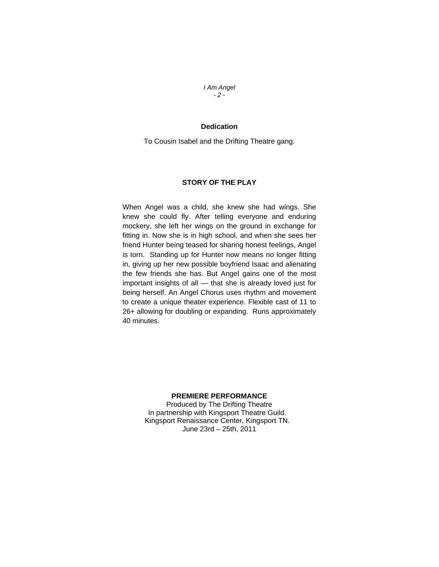*I Am Angel - 2 -* 

## **Dedication**

To Cousin Isabel and the Drifting Theatre gang.

# **STORY OF THE PLAY**

When Angel was a child, she knew she had wings. She knew she could fly. After telling everyone and enduring mockery, she left her wings on the ground in exchange for fitting in. Now she is in high school, and when she sees her friend Hunter being teased for sharing honest feelings, Angel is torn. Standing up for Hunter now means no longer fitting in, giving up her new possible boyfriend Isaac and alienating the few friends she has. But Angel gains one of the most important insights of all — that she is already loved just for being herself. An Angel Chorus uses rhythm and movement to create a unique theater experience. Flexible cast of 11 to 26+ allowing for doubling or expanding. Runs approximately 40 minutes.

## **PREMIERE PERFORMANCE**

Produced by The Drifting Theatre In partnership with Kingsport Theatre Guild. Kingsport Renaissance Center, Kingsport TN. June 23rd – 25th, 2011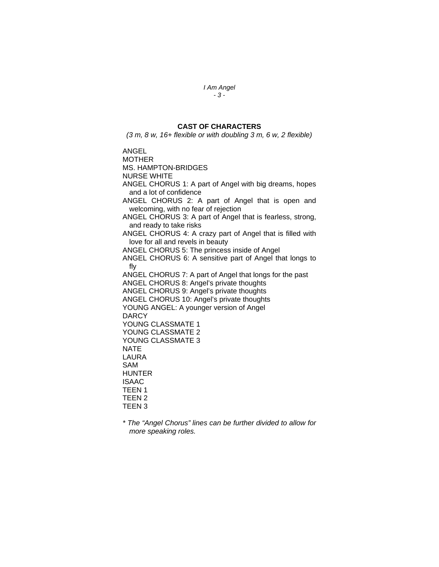*I Am Angel - 3 -* 

# **CAST OF CHARACTERS**

*(3 m, 8 w, 16+ flexible or with doubling 3 m, 6 w, 2 flexible)* 

ANGEL MOTHER MS. HAMPTON-BRIDGES NURSE WHITE ANGEL CHORUS 1: A part of Angel with big dreams, hopes and a lot of confidence ANGEL CHORUS 2: A part of Angel that is open and welcoming, with no fear of rejection ANGEL CHORUS 3: A part of Angel that is fearless, strong, and ready to take risks ANGEL CHORUS 4: A crazy part of Angel that is filled with love for all and revels in beauty ANGEL CHORUS 5: The princess inside of Angel ANGEL CHORUS 6: A sensitive part of Angel that longs to fly ANGEL CHORUS 7: A part of Angel that longs for the past ANGEL CHORUS 8: Angel's private thoughts ANGEL CHORUS 9: Angel's private thoughts ANGEL CHORUS 10: Angel's private thoughts YOUNG ANGEL: A younger version of Angel **DARCY** YOUNG CLASSMATE 1 YOUNG CLASSMATE 2 YOUNG CLASSMATE 3 **NATE** LAURA SAM HUNTER ISAAC TEEN 1 TEEN 2 TEEN 3

*\* The "Angel Chorus" lines can be further divided to allow for more speaking roles.*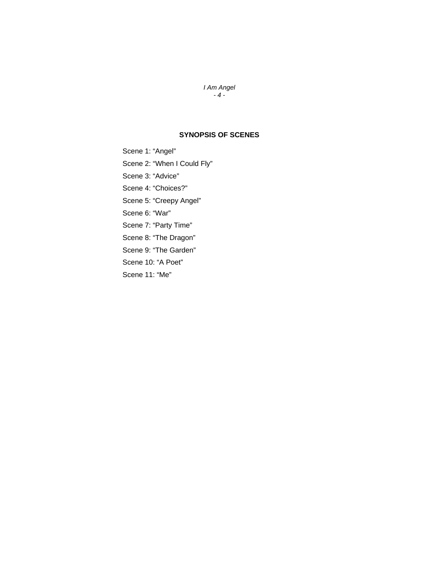#### *I Am Angel - 4 -*

# **SYNOPSIS OF SCENES**

Scene 1: "Angel" Scene 2: "When I Could Fly" Scene 3: "Advice" Scene 4: "Choices?" Scene 5: "Creepy Angel" Scene 6: "War" Scene 7: "Party Time" Scene 8: "The Dragon" Scene 9: "The Garden" Scene 10: "A Poet" Scene 11: "Me"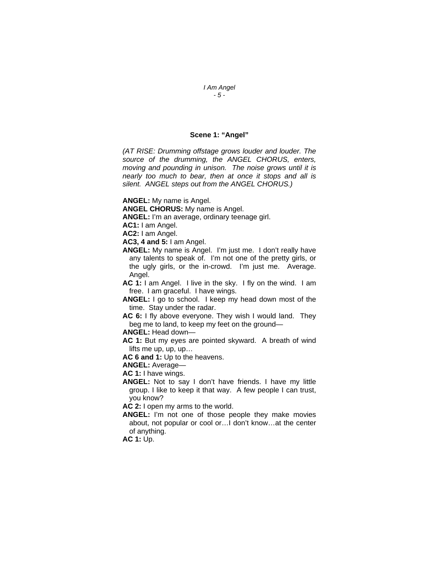### *I Am Angel - 5 -*

## **Scene 1: "Angel"**

*(AT RISE: Drumming offstage grows louder and louder. The source of the drumming, the ANGEL CHORUS, enters, moving and pounding in unison. The noise grows until it is nearly too much to bear, then at once it stops and all is silent. ANGEL steps out from the ANGEL CHORUS.)* 

**ANGEL:** My name is Angel.

**ANGEL CHORUS:** My name is Angel.

**ANGEL:** I'm an average, ordinary teenage girl.

**AC1:** I am Angel.

**AC2:** I am Angel.

**AC3, 4 and 5:** I am Angel.

**ANGEL:** My name is Angel. I'm just me. I don't really have any talents to speak of. I'm not one of the pretty girls, or the ugly girls, or the in-crowd. I'm just me. Average. Angel.

**AC 1:** I am Angel. I live in the sky. I fly on the wind. I am free. I am graceful. I have wings.

**ANGEL:** I go to school. I keep my head down most of the time. Stay under the radar.

**AC 6:** I fly above everyone. They wish I would land. They beg me to land, to keep my feet on the ground—

**ANGEL:** Head down—

**AC 1:** But my eyes are pointed skyward. A breath of wind lifts me up, up, up…

**AC 6 and 1:** Up to the heavens.

**ANGEL:** Average—

**AC 1:** I have wings.

**ANGEL:** Not to say I don't have friends. I have my little group. I like to keep it that way. A few people I can trust, you know?

**AC 2:** I open my arms to the world.

**ANGEL:** I'm not one of those people they make movies about, not popular or cool or…I don't know…at the center of anything.

**AC 1:** Up.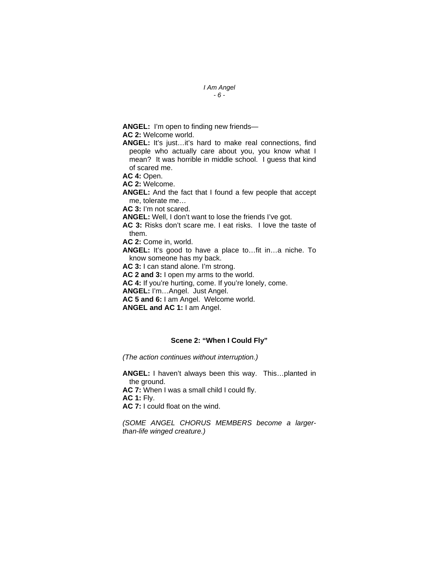*I Am Angel - 6 -* 

**ANGEL:** I'm open to finding new friends—

**AC 2:** Welcome world.

**ANGEL:** It's just…it's hard to make real connections, find people who actually care about you, you know what I mean? It was horrible in middle school. I guess that kind of scared me.

**AC 4:** Open.

**AC 2:** Welcome.

**ANGEL:** And the fact that I found a few people that accept me, tolerate me…

**AC 3:** I'm not scared.

**ANGEL:** Well, I don't want to lose the friends I've got.

**AC 3:** Risks don't scare me. I eat risks. I love the taste of them.

**AC 2:** Come in, world.

**ANGEL:** It's good to have a place to…fit in…a niche. To know someone has my back.

**AC 3:** I can stand alone. I'm strong.

**AC 2 and 3:** I open my arms to the world.

**AC 4:** If you're hurting, come. If you're lonely, come.

**ANGEL:** I'm…Angel. Just Angel.

**AC 5 and 6:** I am Angel. Welcome world.

**ANGEL and AC 1:** I am Angel.

## **Scene 2: "When I Could Fly"**

*(The action continues without interruption.)* 

**ANGEL:** I haven't always been this way. This…planted in the ground. **AC 7:** When I was a small child I could fly. **AC 1:** Fly.

**AC 7:** I could float on the wind.

*(SOME ANGEL CHORUS MEMBERS become a largerthan-life winged creature.)*